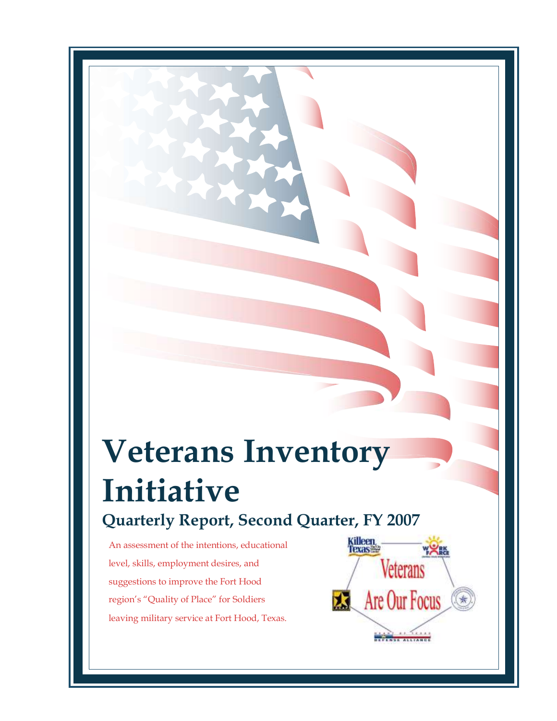# **Veterans Inventory Initiative Quarterly Report, Second Quarter, FY 2007**

An assessment of the intentions, educational level, skills, employment desires, and suggestions to improve the Fort Hood region's "Quality of Place" for Soldiers leaving military service at Fort Hood, Texas.

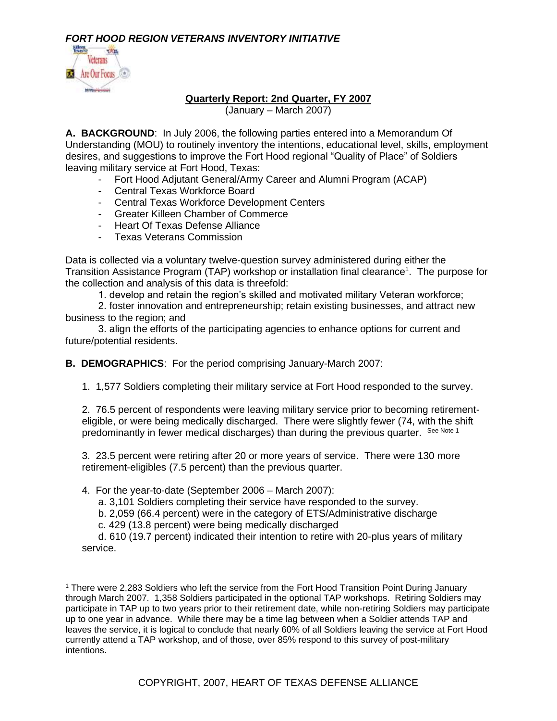

#### **Quarterly Report: 2nd Quarter, FY 2007**

(January – March 2007)

**A. BACKGROUND**: In July 2006, the following parties entered into a Memorandum Of Understanding (MOU) to routinely inventory the intentions, educational level, skills, employment desires, and suggestions to improve the Fort Hood regional "Quality of Place" of Soldiers leaving military service at Fort Hood, Texas:

- Fort Hood Adjutant General/Army Career and Alumni Program (ACAP)
- Central Texas Workforce Board
- Central Texas Workforce Development Centers
- Greater Killeen Chamber of Commerce
- Heart Of Texas Defense Alliance
- Texas Veterans Commission

Data is collected via a voluntary twelve-question survey administered during either the Transition Assistance Program (TAP) workshop or installation final clearance<sup>1</sup>. The purpose for the collection and analysis of this data is threefold:

1. develop and retain the region's skilled and motivated military Veteran workforce;

2. foster innovation and entrepreneurship; retain existing businesses, and attract new business to the region; and

3. align the efforts of the participating agencies to enhance options for current and future/potential residents.

**B. DEMOGRAPHICS**: For the period comprising January-March 2007:

1. 1,577 Soldiers completing their military service at Fort Hood responded to the survey.

2. 76.5 percent of respondents were leaving military service prior to becoming retirementeligible, or were being medically discharged. There were slightly fewer (74, with the shift predominantly in fewer medical discharges) than during the previous quarter. See Note 1

3. 23.5 percent were retiring after 20 or more years of service. There were 130 more retirement-eligibles (7.5 percent) than the previous quarter.

4. For the year-to-date (September 2006 – March 2007):

a. 3,101 Soldiers completing their service have responded to the survey.

b. 2,059 (66.4 percent) were in the category of ETS/Administrative discharge

c. 429 (13.8 percent) were being medically discharged

d. 610 (19.7 percent) indicated their intention to retire with 20-plus years of military service.

<sup>1</sup> There were 2,283 Soldiers who left the service from the Fort Hood Transition Point During January through March 2007. 1,358 Soldiers participated in the optional TAP workshops. Retiring Soldiers may participate in TAP up to two years prior to their retirement date, while non-retiring Soldiers may participate up to one year in advance. While there may be a time lag between when a Soldier attends TAP and leaves the service, it is logical to conclude that nearly 60% of all Soldiers leaving the service at Fort Hood currently attend a TAP workshop, and of those, over 85% respond to this survey of post-military intentions.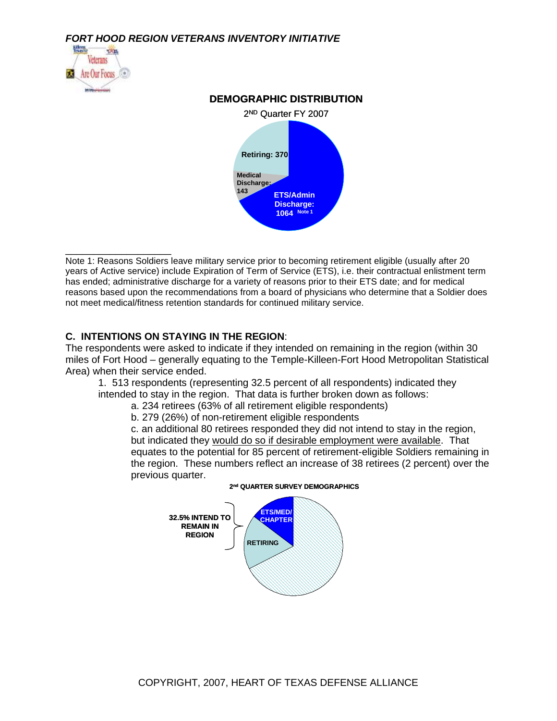

\_\_\_\_\_\_\_\_\_\_\_\_\_\_\_\_\_\_\_

#### **DEMOGRAPHIC DISTRIBUTION**



Note 1: Reasons Soldiers leave military service prior to becoming retirement eligible (usually after 20 years of Active service) include Expiration of Term of Service (ETS), i.e. their contractual enlistment term has ended; administrative discharge for a variety of reasons prior to their ETS date; and for medical reasons based upon the recommendations from a board of physicians who determine that a Soldier does not meet medical/fitness retention standards for continued military service.

#### **C. INTENTIONS ON STAYING IN THE REGION**:

The respondents were asked to indicate if they intended on remaining in the region (within 30 miles of Fort Hood – generally equating to the Temple-Killeen-Fort Hood Metropolitan Statistical Area) when their service ended.

1. 513 respondents (representing 32.5 percent of all respondents) indicated they intended to stay in the region. That data is further broken down as follows:

a. 234 retirees (63% of all retirement eligible respondents)

b. 279 (26%) of non-retirement eligible respondents

c. an additional 80 retirees responded they did not intend to stay in the region, but indicated they would do so if desirable employment were available. That equates to the potential for 85 percent of retirement-eligible Soldiers remaining in the region. These numbers reflect an increase of 38 retirees (2 percent) over the previous quarter.



#### **2 nd QUARTER SURVEY DEMOGRAPHICS**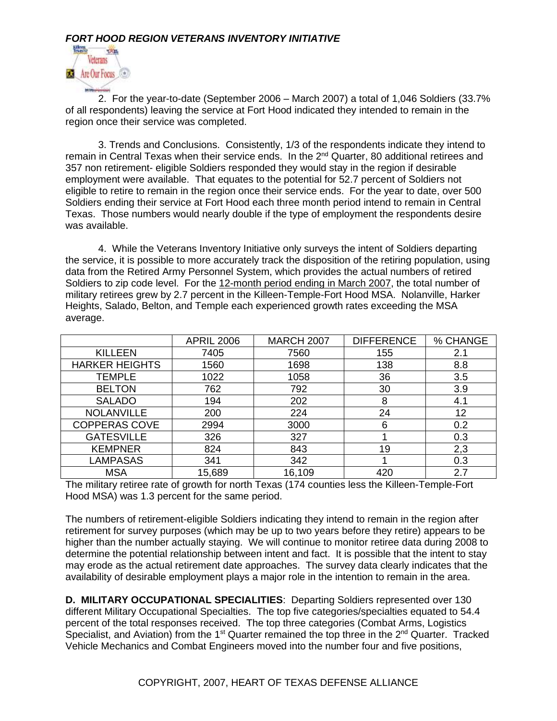

2. For the year-to-date (September 2006 – March 2007) a total of 1,046 Soldiers (33.7% of all respondents) leaving the service at Fort Hood indicated they intended to remain in the region once their service was completed.

3. Trends and Conclusions. Consistently, 1/3 of the respondents indicate they intend to remain in Central Texas when their service ends. In the 2<sup>nd</sup> Quarter, 80 additional retirees and 357 non retirement- eligible Soldiers responded they would stay in the region if desirable employment were available. That equates to the potential for 52.7 percent of Soldiers not eligible to retire to remain in the region once their service ends. For the year to date, over 500 Soldiers ending their service at Fort Hood each three month period intend to remain in Central Texas. Those numbers would nearly double if the type of employment the respondents desire was available.

4. While the Veterans Inventory Initiative only surveys the intent of Soldiers departing the service, it is possible to more accurately track the disposition of the retiring population, using data from the Retired Army Personnel System, which provides the actual numbers of retired Soldiers to zip code level. For the 12-month period ending in March 2007, the total number of military retirees grew by 2.7 percent in the Killeen-Temple-Fort Hood MSA. Nolanville, Harker Heights, Salado, Belton, and Temple each experienced growth rates exceeding the MSA average.

|                       | <b>APRIL 2006</b> | <b>MARCH 2007</b> | <b>DIFFERENCE</b> | % CHANGE |
|-----------------------|-------------------|-------------------|-------------------|----------|
| <b>KILLEEN</b>        | 7405              | 7560              | 155               | 2.1      |
| <b>HARKER HEIGHTS</b> | 1560              | 1698              | 138               | 8.8      |
| <b>TEMPLE</b>         | 1022              | 1058              | 36                | 3.5      |
| <b>BELTON</b>         | 762               | 792               | 30                | 3.9      |
| <b>SALADO</b>         | 194               | 202               | 8                 | 4.1      |
| <b>NOLANVILLE</b>     | 200               | 224               | 24                | 12       |
| <b>COPPERAS COVE</b>  | 2994              | 3000              | 6                 | 0.2      |
| <b>GATESVILLE</b>     | 326               | 327               |                   | 0.3      |
| <b>KEMPNER</b>        | 824               | 843               | 19                | 2,3      |
| <b>LAMPASAS</b>       | 341               | 342               |                   | 0.3      |
| <b>MSA</b>            | 15,689            | 16,109            | 420               | 2.7      |

The military retiree rate of growth for north Texas (174 counties less the Killeen-Temple-Fort Hood MSA) was 1.3 percent for the same period.

The numbers of retirement-eligible Soldiers indicating they intend to remain in the region after retirement for survey purposes (which may be up to two years before they retire) appears to be higher than the number actually staying. We will continue to monitor retiree data during 2008 to determine the potential relationship between intent and fact. It is possible that the intent to stay may erode as the actual retirement date approaches. The survey data clearly indicates that the availability of desirable employment plays a major role in the intention to remain in the area.

**D. MILITARY OCCUPATIONAL SPECIALITIES**: Departing Soldiers represented over 130 different Military Occupational Specialties. The top five categories/specialties equated to 54.4 percent of the total responses received. The top three categories (Combat Arms, Logistics Specialist, and Aviation) from the 1<sup>st</sup> Quarter remained the top three in the  $2^{nd}$  Quarter. Tracked Vehicle Mechanics and Combat Engineers moved into the number four and five positions,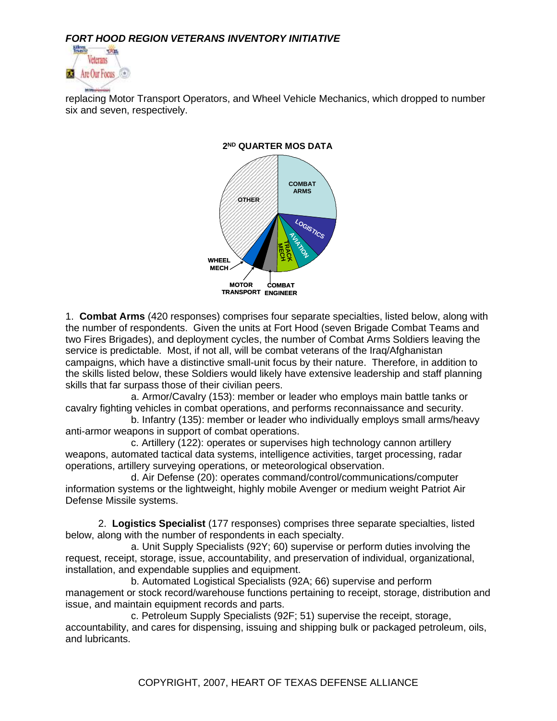

replacing Motor Transport Operators, and Wheel Vehicle Mechanics, which dropped to number six and seven, respectively.



**2 ND QUARTER MOS DATA**

1. **Combat Arms** (420 responses) comprises four separate specialties, listed below, along with the number of respondents. Given the units at Fort Hood (seven Brigade Combat Teams and two Fires Brigades), and deployment cycles, the number of Combat Arms Soldiers leaving the service is predictable. Most, if not all, will be combat veterans of the Iraq/Afghanistan campaigns, which have a distinctive small-unit focus by their nature. Therefore, in addition to the skills listed below, these Soldiers would likely have extensive leadership and staff planning skills that far surpass those of their civilian peers.

a. Armor/Cavalry (153): member or leader who employs main battle tanks or cavalry fighting vehicles in combat operations, and performs reconnaissance and security.

b. Infantry (135): member or leader who individually employs small arms/heavy anti-armor weapons in support of combat operations.

c. Artillery (122): operates or supervises high technology cannon artillery weapons, automated tactical data systems, intelligence activities, target processing, radar operations, artillery surveying operations, or meteorological observation.

d. Air Defense (20): operates command/control/communications/computer information systems or the lightweight, highly mobile Avenger or medium weight Patriot Air Defense Missile systems.

2. **Logistics Specialist** (177 responses) comprises three separate specialties, listed below, along with the number of respondents in each specialty.

a. Unit Supply Specialists (92Y; 60) supervise or perform duties involving the request, receipt, storage, issue, accountability, and preservation of individual, organizational, installation, and expendable supplies and equipment.

b. Automated Logistical Specialists (92A; 66) supervise and perform management or stock record/warehouse functions pertaining to receipt, storage, distribution and issue, and maintain equipment records and parts.

c. Petroleum Supply Specialists (92F; 51) supervise the receipt, storage, accountability, and cares for dispensing, issuing and shipping bulk or packaged petroleum, oils, and lubricants.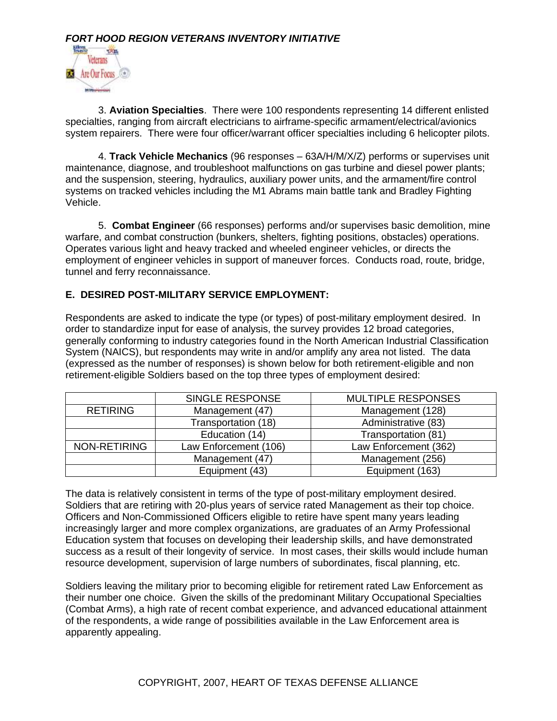

3. **Aviation Specialties**. There were 100 respondents representing 14 different enlisted specialties, ranging from aircraft electricians to airframe-specific armament/electrical/avionics system repairers. There were four officer/warrant officer specialties including 6 helicopter pilots.

4. **Track Vehicle Mechanics** (96 responses – 63A/H/M/X/Z) performs or supervises unit maintenance, diagnose, and troubleshoot malfunctions on gas turbine and diesel power plants; and the suspension, steering, hydraulics, auxiliary power units, and the armament/fire control systems on tracked vehicles including the M1 Abrams main battle tank and Bradley Fighting Vehicle.

5. **Combat Engineer** (66 responses) performs and/or supervises basic demolition, mine warfare, and combat construction (bunkers, shelters, fighting positions, obstacles) operations. Operates various light and heavy tracked and wheeled engineer vehicles, or directs the employment of engineer vehicles in support of maneuver forces. Conducts road, route, bridge, tunnel and ferry reconnaissance.

#### **E. DESIRED POST-MILITARY SERVICE EMPLOYMENT:**

Respondents are asked to indicate the type (or types) of post-military employment desired. In order to standardize input for ease of analysis, the survey provides 12 broad categories, generally conforming to industry categories found in the North American Industrial Classification System (NAICS), but respondents may write in and/or amplify any area not listed. The data (expressed as the number of responses) is shown below for both retirement-eligible and non retirement-eligible Soldiers based on the top three types of employment desired:

|                 | SINGLE RESPONSE       | <b>MULTIPLE RESPONSES</b> |  |
|-----------------|-----------------------|---------------------------|--|
| <b>RETIRING</b> | Management (47)       | Management (128)          |  |
|                 | Transportation (18)   | Administrative (83)       |  |
|                 | Education (14)        | Transportation (81)       |  |
| NON-RETIRING    | Law Enforcement (106) | Law Enforcement (362)     |  |
|                 | Management (47)       | Management (256)          |  |
|                 | Equipment (43)        | Equipment (163)           |  |

The data is relatively consistent in terms of the type of post-military employment desired. Soldiers that are retiring with 20-plus years of service rated Management as their top choice. Officers and Non-Commissioned Officers eligible to retire have spent many years leading increasingly larger and more complex organizations, are graduates of an Army Professional Education system that focuses on developing their leadership skills, and have demonstrated success as a result of their longevity of service. In most cases, their skills would include human resource development, supervision of large numbers of subordinates, fiscal planning, etc.

Soldiers leaving the military prior to becoming eligible for retirement rated Law Enforcement as their number one choice. Given the skills of the predominant Military Occupational Specialties (Combat Arms), a high rate of recent combat experience, and advanced educational attainment of the respondents, a wide range of possibilities available in the Law Enforcement area is apparently appealing.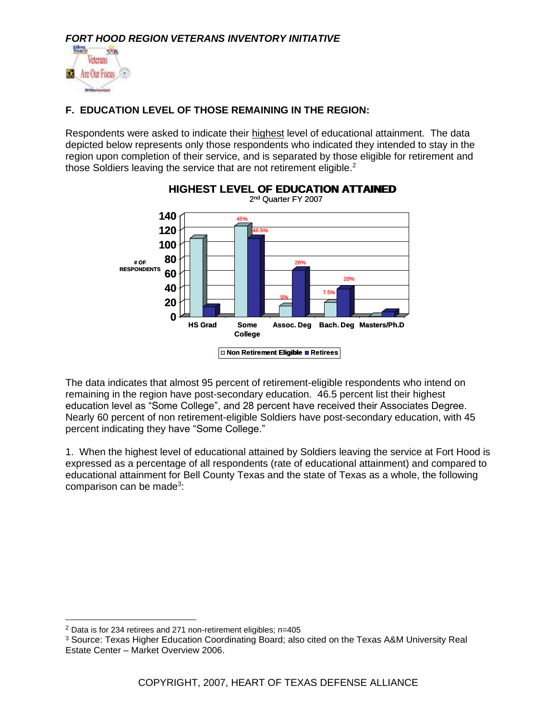

## **F. EDUCATION LEVEL OF THOSE REMAINING IN THE REGION:**

Respondents were asked to indicate their highest level of educational attainment. The data depicted below represents only those respondents who indicated they intended to stay in the region upon completion of their service, and is separated by those eligible for retirement and those Soldiers leaving the service that are not retirement eligible.<sup>2</sup>



The data indicates that almost 95 percent of retirement-eligible respondents who intend on remaining in the region have post-secondary education. 46.5 percent list their highest education level as "Some College", and 28 percent have received their Associates Degree. Nearly 60 percent of non retirement-eligible Soldiers have post-secondary education, with 45 percent indicating they have "Some College."

1. When the highest level of educational attained by Soldiers leaving the service at Fort Hood is expressed as a percentage of all respondents (rate of educational attainment) and compared to educational attainment for Bell County Texas and the state of Texas as a whole, the following comparison can be made<sup>3</sup>:

 $2$  Data is for 234 retirees and 271 non-retirement eligibles; n=405

<sup>3</sup> Source: Texas Higher Education Coordinating Board; also cited on the Texas A&M University Real Estate Center – Market Overview 2006.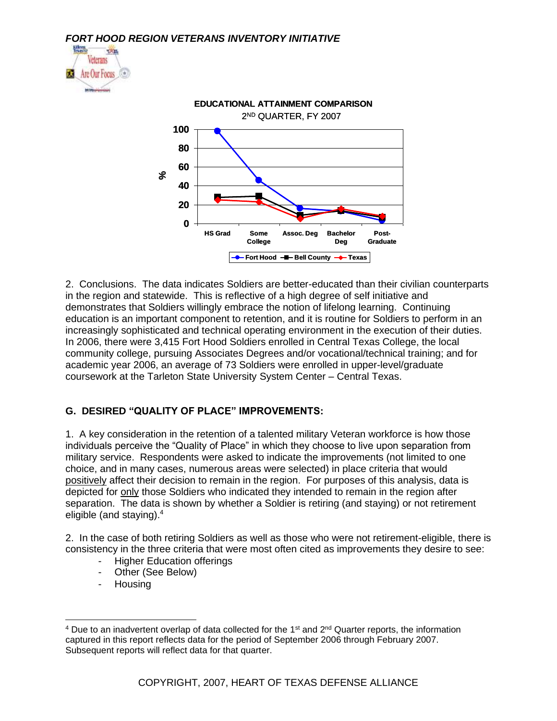



2. Conclusions. The data indicates Soldiers are better-educated than their civilian counterparts in the region and statewide. This is reflective of a high degree of self initiative and demonstrates that Soldiers willingly embrace the notion of lifelong learning. Continuing education is an important component to retention, and it is routine for Soldiers to perform in an increasingly sophisticated and technical operating environment in the execution of their duties. In 2006, there were 3,415 Fort Hood Soldiers enrolled in Central Texas College, the local community college, pursuing Associates Degrees and/or vocational/technical training; and for academic year 2006, an average of 73 Soldiers were enrolled in upper-level/graduate coursework at the Tarleton State University System Center – Central Texas.

# **G. DESIRED "QUALITY OF PLACE" IMPROVEMENTS:**

1. A key consideration in the retention of a talented military Veteran workforce is how those individuals perceive the "Quality of Place" in which they choose to live upon separation from military service. Respondents were asked to indicate the improvements (not limited to one choice, and in many cases, numerous areas were selected) in place criteria that would positively affect their decision to remain in the region. For purposes of this analysis, data is depicted for only those Soldiers who indicated they intended to remain in the region after separation. The data is shown by whether a Soldier is retiring (and staying) or not retirement eligible (and staying).<sup>4</sup>

2. In the case of both retiring Soldiers as well as those who were not retirement-eligible, there is consistency in the three criteria that were most often cited as improvements they desire to see:

- Higher Education offerings
- Other (See Below)
- Housing

<sup>&</sup>lt;sup>4</sup> Due to an inadvertent overlap of data collected for the 1<sup>st</sup> and  $2<sup>nd</sup>$  Quarter reports, the information captured in this report reflects data for the period of September 2006 through February 2007. Subsequent reports will reflect data for that quarter.